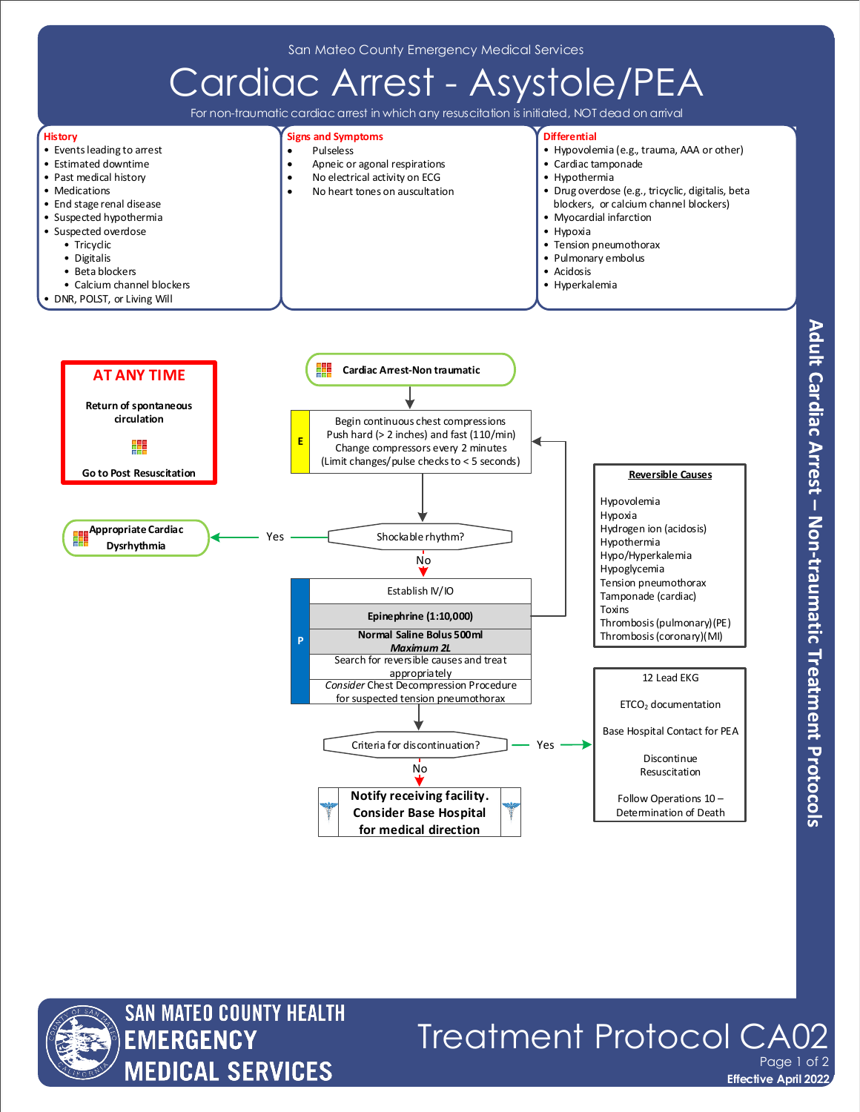San Mateo County Emergency Medical Services





## Treatment Protocol CA Page 1 of 2

**Effective April 2022**